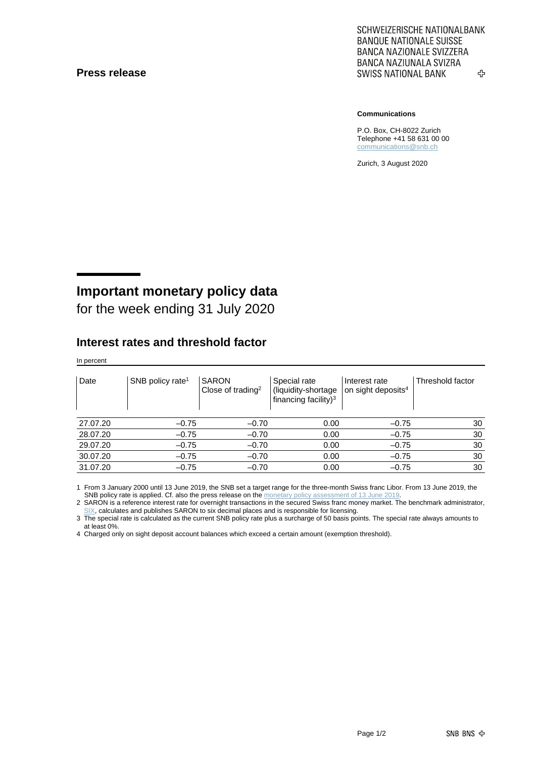#### **Press release**

SCHWEIZERISCHE NATIONALBANK **BANQUE NATIONALE SUISSE BANCA NAZIONALE SVIZZERA** BANCA NAZIUNALA SVIZRA **SWISS NATIONAL BANK** ኇ

**Communications**

P.O. Box, CH-8022 Zurich Telephone +41 58 631 00 00 [communications@snb.ch](mailto:communications@snb.ch)

Zurich, 3 August 2020

# **Important monetary policy data**

for the week ending 31 July 2020

#### **Interest rates and threshold factor**

In percent

| Date     | SNB policy rate <sup>1</sup> | <b>SARON</b><br>Close of trading <sup>2</sup> | Special rate<br>(liquidity-shortage<br>financing facility) <sup>3</sup> | Interest rate<br>on sight deposits <sup>4</sup> | Threshold factor |
|----------|------------------------------|-----------------------------------------------|-------------------------------------------------------------------------|-------------------------------------------------|------------------|
| 27.07.20 | $-0.75$                      | $-0.70$                                       | 0.00                                                                    | $-0.75$                                         | 30               |
| 28.07.20 | $-0.75$                      | $-0.70$                                       | 0.00                                                                    | $-0.75$                                         | 30               |
| 29.07.20 | $-0.75$                      | $-0.70$                                       | 0.00                                                                    | $-0.75$                                         | 30               |
| 30.07.20 | $-0.75$                      | $-0.70$                                       | 0.00                                                                    | $-0.75$                                         | 30               |
| 31.07.20 | $-0.75$                      | $-0.70$                                       | 0.00                                                                    | $-0.75$                                         | 30               |

1 From 3 January 2000 until 13 June 2019, the SNB set a target range for the three-month Swiss franc Libor. From 13 June 2019, the SNB policy rate is applied. Cf. also the press release on th[e monetary policy assessment of 13](https://www.snb.ch/en/mmr/reference/pre_20190613/source/pre_20190613.en.pdf) June 201

2 SARON is a reference interest rate for overnight transactions in the secured Swiss franc money market. The benchmark administrator, [SIX,](https://www.six-group.com/exchanges/indices/data_centre/swiss_reference_rates/reference_rates_en.html) calculates and publishes SARON to six decimal places and is responsible for licensing.

3 The special rate is calculated as the current SNB policy rate plus a surcharge of 50 basis points. The special rate always amounts to at least 0%.

4 Charged only on sight deposit account balances which exceed a certain amount (exemption threshold).